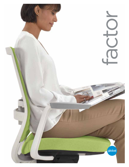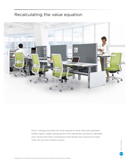### Recalculating the value equation



Factor<sup>™</sup> seating recalculates the value equation for work chairs with adjustable lumbar support, weight sensing synchro-tilter mechanism, and fixed or adjustable arms. Choose from three contemporary frame finishes and a spectrum of mesh colors. You just won't believe the price.

factor seating factor seating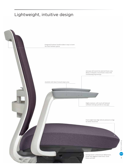# Lightweight, intuitive design

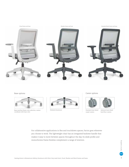

Base options



Base matches frame color selection; casters coordinate with base color



Polished Aluminum

Caster options





Standard dual wheel carpet casters

Optional dual wheel hard floor casters

For collaborative applications in flex and touchdown spaces, Factor goes wherever you choose to work. The lightweight chair has an integrated backrest handle that makes it easy to move between spaces throughout the day. Its sleek profile and monochrome frame finishes complement a range of interiors.

factor seating factor seating  $g$ lobal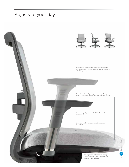### Adjusts to your day

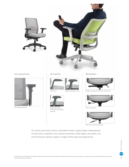

### Arm adjustments Arm options



Side sliding armcaps











arms with side sliding armcaps

Mechanisms



Fixed arms **Mediation** Height adjustable arms **Weight sensing synchro-tilter mechanism** 



Height adjustable **Times** Tilter mechanism



Task basic swivel mechanism

Sit, stretch and recline. Factor's adjustable lumbar support flexes independently on each side to respond to your seated movements. Back height, seat depth, arm and mechanism options support a range of body types and applications.

> factor seating factor seating global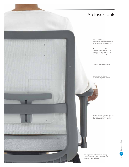

7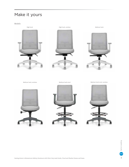# Make it yours

Models



High back, armless Medium back









Medium back stool

Medium back, armless Medium back stool, armless

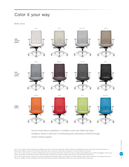## Color it your way

Mesh colors



Factor's mesh back is available in 12 brilliant colors that reflect the latest workplace trends. A selection of coordinating seat upholstery is offered through Global's textile program.

> factor seating factor seating global

Row 1, left to right: Shown in Momentum Millennium, Clean with Snow mesh back; Shown in Momentum Millennium, Zinc with Sand mesh back; Shown in Momentum Innity, Aluminum with Silver Grey mesh back; and shown in Momentum Marathon, Oats with Mocha mesh back. Row 2, left to right: Shown in Guilford of Maine Open House, Asteroid with Pewter mesh back; Shown in Momentum Millennium, Geode with Eggplant mesh back; Shown in Momentum Tradition, Sly with Charcoal mesh; and shown in Guilford of Maine Open House, Onyx with Black mesh back.

Row 3, left to right: Shown in Mayer Cross Check, Paradise with Pumpkin mesh back; Shown in Guilford of Maine Open House, Geranium with Poppy mesh back; Shown in LUUM Cross Dye, Artichoke with Lime mesh back; and shown in Momentum Marathon, Cyan with Buzz Blue mesh back.